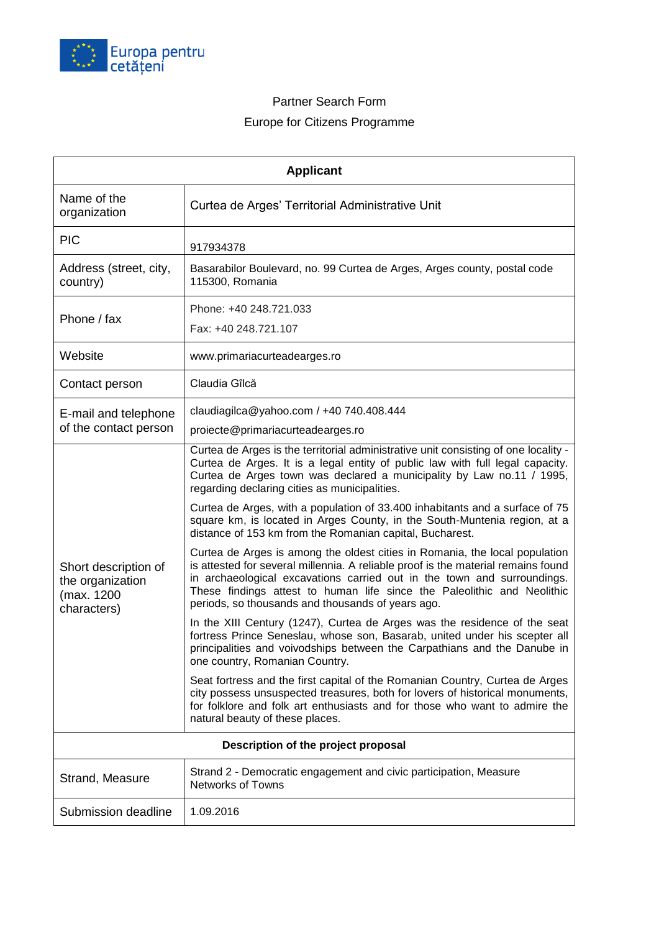

## Partner Search Form Europe for Citizens Programme

| <b>Applicant</b>                                                      |                                                                                                                                                                                                                                                                                                                                                                                                                                                                                                                         |  |  |  |  |  |  |
|-----------------------------------------------------------------------|-------------------------------------------------------------------------------------------------------------------------------------------------------------------------------------------------------------------------------------------------------------------------------------------------------------------------------------------------------------------------------------------------------------------------------------------------------------------------------------------------------------------------|--|--|--|--|--|--|
| Name of the<br>organization                                           | Curtea de Arges' Territorial Administrative Unit                                                                                                                                                                                                                                                                                                                                                                                                                                                                        |  |  |  |  |  |  |
| <b>PIC</b>                                                            | 917934378                                                                                                                                                                                                                                                                                                                                                                                                                                                                                                               |  |  |  |  |  |  |
| Address (street, city,<br>country)                                    | Basarabilor Boulevard, no. 99 Curtea de Arges, Arges county, postal code<br>115300, Romania                                                                                                                                                                                                                                                                                                                                                                                                                             |  |  |  |  |  |  |
| Phone / fax                                                           | Phone: +40 248.721.033<br>Fax: +40 248.721.107                                                                                                                                                                                                                                                                                                                                                                                                                                                                          |  |  |  |  |  |  |
| Website                                                               | www.primariacurteadearges.ro                                                                                                                                                                                                                                                                                                                                                                                                                                                                                            |  |  |  |  |  |  |
| Contact person                                                        | Claudia Gîlcă                                                                                                                                                                                                                                                                                                                                                                                                                                                                                                           |  |  |  |  |  |  |
| E-mail and telephone<br>of the contact person                         | claudiagilca@yahoo.com / $+40$ 740.408.444<br>proiecte@primariacurteadearges.ro                                                                                                                                                                                                                                                                                                                                                                                                                                         |  |  |  |  |  |  |
| Short description of<br>the organization<br>(max. 1200<br>characters) | Curtea de Arges is the territorial administrative unit consisting of one locality -<br>Curtea de Arges. It is a legal entity of public law with full legal capacity.<br>Curtea de Arges town was declared a municipality by Law no.11 / 1995,<br>regarding declaring cities as municipalities.<br>Curtea de Arges, with a population of 33.400 inhabitants and a surface of 75<br>square km, is located in Arges County, in the South-Muntenia region, at a<br>distance of 153 km from the Romanian capital, Bucharest. |  |  |  |  |  |  |
|                                                                       | Curtea de Arges is among the oldest cities in Romania, the local population<br>is attested for several millennia. A reliable proof is the material remains found<br>in archaeological excavations carried out in the town and surroundings.<br>These findings attest to human life since the Paleolithic and Neolithic<br>periods, so thousands and thousands of years ago.                                                                                                                                             |  |  |  |  |  |  |
|                                                                       | In the XIII Century (1247), Curtea de Arges was the residence of the seat<br>fortress Prince Seneslau, whose son, Basarab, united under his scepter all<br>principalities and voivodships between the Carpathians and the Danube in<br>one country, Romanian Country.                                                                                                                                                                                                                                                   |  |  |  |  |  |  |
|                                                                       | Seat fortress and the first capital of the Romanian Country, Curtea de Arges<br>city possess unsuspected treasures, both for lovers of historical monuments,<br>for folklore and folk art enthusiasts and for those who want to admire the<br>natural beauty of these places.                                                                                                                                                                                                                                           |  |  |  |  |  |  |
| Description of the project proposal                                   |                                                                                                                                                                                                                                                                                                                                                                                                                                                                                                                         |  |  |  |  |  |  |
| Strand, Measure                                                       | Strand 2 - Democratic engagement and civic participation, Measure<br><b>Networks of Towns</b>                                                                                                                                                                                                                                                                                                                                                                                                                           |  |  |  |  |  |  |
| Submission deadline                                                   | 1.09.2016                                                                                                                                                                                                                                                                                                                                                                                                                                                                                                               |  |  |  |  |  |  |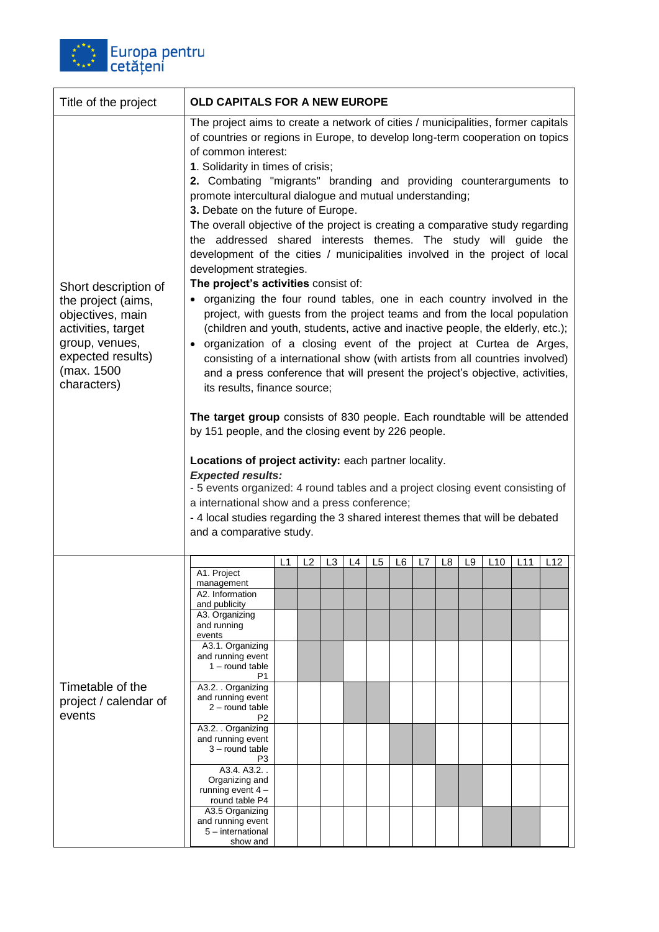

| Title of the project                                                                                                                                     | <b>OLD CAPITALS FOR A NEW EUROPE</b>                                                                                                                                                                                                                                                                                                                                                                                                                                                                                                                                                                                                                                                                                                                                                                                                                                                                                                                                                                                                                                                                                                                                                                                                                                                                                                                                                                                                                                                                                                                                                                                                                                                                     |    |                |    |    |                |    |    |    |    |     |     |     |
|----------------------------------------------------------------------------------------------------------------------------------------------------------|----------------------------------------------------------------------------------------------------------------------------------------------------------------------------------------------------------------------------------------------------------------------------------------------------------------------------------------------------------------------------------------------------------------------------------------------------------------------------------------------------------------------------------------------------------------------------------------------------------------------------------------------------------------------------------------------------------------------------------------------------------------------------------------------------------------------------------------------------------------------------------------------------------------------------------------------------------------------------------------------------------------------------------------------------------------------------------------------------------------------------------------------------------------------------------------------------------------------------------------------------------------------------------------------------------------------------------------------------------------------------------------------------------------------------------------------------------------------------------------------------------------------------------------------------------------------------------------------------------------------------------------------------------------------------------------------------------|----|----------------|----|----|----------------|----|----|----|----|-----|-----|-----|
| Short description of<br>the project (aims,<br>objectives, main<br>activities, target<br>group, venues,<br>expected results)<br>(max. 1500<br>characters) | The project aims to create a network of cities / municipalities, former capitals<br>of countries or regions in Europe, to develop long-term cooperation on topics<br>of common interest:<br>1. Solidarity in times of crisis;<br>2. Combating "migrants" branding and providing counterarguments to<br>promote intercultural dialogue and mutual understanding;<br>3. Debate on the future of Europe.<br>The overall objective of the project is creating a comparative study regarding<br>the addressed shared interests themes. The study will guide the<br>development of the cities / municipalities involved in the project of local<br>development strategies.<br>The project's activities consist of:<br>• organizing the four round tables, one in each country involved in the<br>project, with guests from the project teams and from the local population<br>(children and youth, students, active and inactive people, the elderly, etc.);<br>• organization of a closing event of the project at Curtea de Arges,<br>consisting of a international show (with artists from all countries involved)<br>and a press conference that will present the project's objective, activities,<br>its results, finance source;<br>The target group consists of 830 people. Each roundtable will be attended<br>by 151 people, and the closing event by 226 people.<br>Locations of project activity: each partner locality.<br><b>Expected results:</b><br>- 5 events organized: 4 round tables and a project closing event consisting of<br>a international show and a press conference;<br>- 4 local studies regarding the 3 shared interest themes that will be debated<br>and a comparative study. |    |                |    |    |                |    |    |    |    |     |     |     |
| Timetable of the<br>project / calendar of<br>events                                                                                                      | A1. Project                                                                                                                                                                                                                                                                                                                                                                                                                                                                                                                                                                                                                                                                                                                                                                                                                                                                                                                                                                                                                                                                                                                                                                                                                                                                                                                                                                                                                                                                                                                                                                                                                                                                                              | L1 | L <sub>2</sub> | L3 | L4 | L <sub>5</sub> | L6 | L7 | L8 | L9 | L10 | L11 | L12 |
|                                                                                                                                                          | management<br>A2. Information                                                                                                                                                                                                                                                                                                                                                                                                                                                                                                                                                                                                                                                                                                                                                                                                                                                                                                                                                                                                                                                                                                                                                                                                                                                                                                                                                                                                                                                                                                                                                                                                                                                                            |    |                |    |    |                |    |    |    |    |     |     |     |
|                                                                                                                                                          | and publicity<br>A3. Organizing                                                                                                                                                                                                                                                                                                                                                                                                                                                                                                                                                                                                                                                                                                                                                                                                                                                                                                                                                                                                                                                                                                                                                                                                                                                                                                                                                                                                                                                                                                                                                                                                                                                                          |    |                |    |    |                |    |    |    |    |     |     |     |
|                                                                                                                                                          | and running<br>events                                                                                                                                                                                                                                                                                                                                                                                                                                                                                                                                                                                                                                                                                                                                                                                                                                                                                                                                                                                                                                                                                                                                                                                                                                                                                                                                                                                                                                                                                                                                                                                                                                                                                    |    |                |    |    |                |    |    |    |    |     |     |     |
|                                                                                                                                                          | A3.1. Organizing<br>and running event<br>$1 -$ round table<br>P1                                                                                                                                                                                                                                                                                                                                                                                                                                                                                                                                                                                                                                                                                                                                                                                                                                                                                                                                                                                                                                                                                                                                                                                                                                                                                                                                                                                                                                                                                                                                                                                                                                         |    |                |    |    |                |    |    |    |    |     |     |     |
|                                                                                                                                                          | A3.2. Organizing<br>and running event                                                                                                                                                                                                                                                                                                                                                                                                                                                                                                                                                                                                                                                                                                                                                                                                                                                                                                                                                                                                                                                                                                                                                                                                                                                                                                                                                                                                                                                                                                                                                                                                                                                                    |    |                |    |    |                |    |    |    |    |     |     |     |
|                                                                                                                                                          | 2 - round table<br>P <sub>2</sub>                                                                                                                                                                                                                                                                                                                                                                                                                                                                                                                                                                                                                                                                                                                                                                                                                                                                                                                                                                                                                                                                                                                                                                                                                                                                                                                                                                                                                                                                                                                                                                                                                                                                        |    |                |    |    |                |    |    |    |    |     |     |     |
|                                                                                                                                                          | A3.2. Organizing<br>and running event                                                                                                                                                                                                                                                                                                                                                                                                                                                                                                                                                                                                                                                                                                                                                                                                                                                                                                                                                                                                                                                                                                                                                                                                                                                                                                                                                                                                                                                                                                                                                                                                                                                                    |    |                |    |    |                |    |    |    |    |     |     |     |
|                                                                                                                                                          | 3 - round table<br>P <sub>3</sub>                                                                                                                                                                                                                                                                                                                                                                                                                                                                                                                                                                                                                                                                                                                                                                                                                                                                                                                                                                                                                                                                                                                                                                                                                                                                                                                                                                                                                                                                                                                                                                                                                                                                        |    |                |    |    |                |    |    |    |    |     |     |     |
|                                                                                                                                                          | A3.4, A3.2.<br>Organizing and                                                                                                                                                                                                                                                                                                                                                                                                                                                                                                                                                                                                                                                                                                                                                                                                                                                                                                                                                                                                                                                                                                                                                                                                                                                                                                                                                                                                                                                                                                                                                                                                                                                                            |    |                |    |    |                |    |    |    |    |     |     |     |
|                                                                                                                                                          | running event $4 -$<br>round table P4                                                                                                                                                                                                                                                                                                                                                                                                                                                                                                                                                                                                                                                                                                                                                                                                                                                                                                                                                                                                                                                                                                                                                                                                                                                                                                                                                                                                                                                                                                                                                                                                                                                                    |    |                |    |    |                |    |    |    |    |     |     |     |
|                                                                                                                                                          | A3.5 Organizing<br>and running event                                                                                                                                                                                                                                                                                                                                                                                                                                                                                                                                                                                                                                                                                                                                                                                                                                                                                                                                                                                                                                                                                                                                                                                                                                                                                                                                                                                                                                                                                                                                                                                                                                                                     |    |                |    |    |                |    |    |    |    |     |     |     |
|                                                                                                                                                          | 5 - international<br>show and                                                                                                                                                                                                                                                                                                                                                                                                                                                                                                                                                                                                                                                                                                                                                                                                                                                                                                                                                                                                                                                                                                                                                                                                                                                                                                                                                                                                                                                                                                                                                                                                                                                                            |    |                |    |    |                |    |    |    |    |     |     |     |